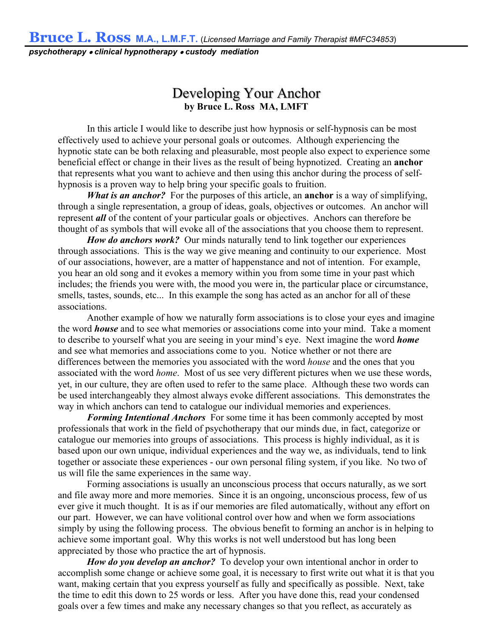**Bruce L. Ross M.A., L.M.F.T.** (*Licensed Marriage and Family Therapist #MFC34853*)

*psychotherapy clinical hypnotherapy custody mediation*

## Developing Your Anchor **by Bruce L. Ross MA, LMFT**

In this article I would like to describe just how hypnosis or self-hypnosis can be most effectively used to achieve your personal goals or outcomes. Although experiencing the hypnotic state can be both relaxing and pleasurable, most people also expect to experience some beneficial effect or change in their lives as the result of being hypnotized. Creating an **anchor** that represents what you want to achieve and then using this anchor during the process of selfhypnosis is a proven way to help bring your specific goals to fruition.

*What is an anchor?* For the purposes of this article, an **anchor** is a way of simplifying, through a single representation, a group of ideas, goals, objectives or outcomes. An anchor will represent *all* of the content of your particular goals or objectives. Anchors can therefore be thought of as symbols that will evoke all of the associations that you choose them to represent.

*How do anchors work?* Our minds naturally tend to link together our experiences through associations. This is the way we give meaning and continuity to our experience. Most of our associations, however, are a matter of happenstance and not of intention. For example, you hear an old song and it evokes a memory within you from some time in your past which includes; the friends you were with, the mood you were in, the particular place or circumstance, smells, tastes, sounds, etc... In this example the song has acted as an anchor for all of these associations.

Another example of how we naturally form associations is to close your eyes and imagine the word *house* and to see what memories or associations come into your mind. Take a moment to describe to yourself what you are seeing in your mind's eye. Next imagine the word *home* and see what memories and associations come to you. Notice whether or not there are differences between the memories you associated with the word *house* and the ones that you associated with the word *home*. Most of us see very different pictures when we use these words, yet, in our culture, they are often used to refer to the same place. Although these two words can be used interchangeably they almost always evoke different associations. This demonstrates the way in which anchors can tend to catalogue our individual memories and experiences.

*Forming Intentional Anchors* For some time it has been commonly accepted by most professionals that work in the field of psychotherapy that our minds due, in fact, categorize or catalogue our memories into groups of associations. This process is highly individual, as it is based upon our own unique, individual experiences and the way we, as individuals, tend to link together or associate these experiences - our own personal filing system, if you like. No two of us will file the same experiences in the same way.

Forming associations is usually an unconscious process that occurs naturally, as we sort and file away more and more memories. Since it is an ongoing, unconscious process, few of us ever give it much thought. It is as if our memories are filed automatically, without any effort on our part. However, we can have volitional control over how and when we form associations simply by using the following process. The obvious benefit to forming an anchor is in helping to achieve some important goal. Why this works is not well understood but has long been appreciated by those who practice the art of hypnosis.

*How do you develop an anchor?* To develop your own intentional anchor in order to accomplish some change or achieve some goal, it is necessary to first write out what it is that you want, making certain that you express yourself as fully and specifically as possible. Next, take the time to edit this down to 25 words or less. After you have done this, read your condensed goals over a few times and make any necessary changes so that you reflect, as accurately as